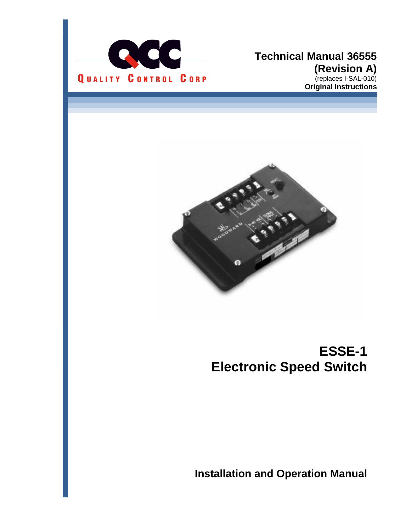

#### **Technical Manual 36555 (Revision A)** (replaces I-SAL-010) **Original Instructions**



# **ESSE-1 Electronic Speed Switch**

**Installation and Operation Manual**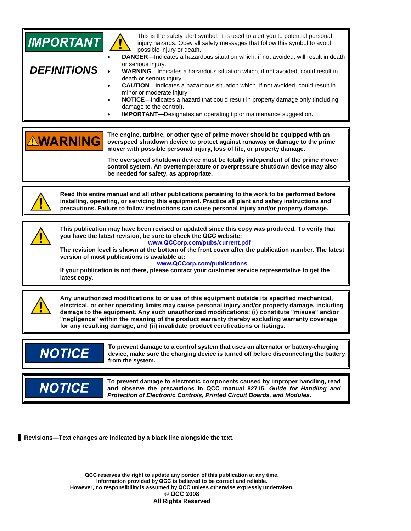| <b>IMPORTANT</b><br><b>DEFINITIONS</b> | This is the safety alert symbol. It is used to alert you to potential personal<br>injury hazards. Obey all safety messages that follow this symbol to avoid<br>possible injury or death.<br>DANGER-Indicates a hazardous situation which, if not avoided, will result in death<br>or serious injury.<br>WARNING-Indicates a hazardous situation which, if not avoided, could result in<br>death or serious injury.<br><b>CAUTION</b> -Indicates a hazardous situation which, if not avoided, could result in<br>minor or moderate injury.<br>NOTICE-Indicates a hazard that could result in property damage only (including<br>damage to the control).<br><b>IMPORTANT</b> -Designates an operating tip or maintenance suggestion. |
|----------------------------------------|------------------------------------------------------------------------------------------------------------------------------------------------------------------------------------------------------------------------------------------------------------------------------------------------------------------------------------------------------------------------------------------------------------------------------------------------------------------------------------------------------------------------------------------------------------------------------------------------------------------------------------------------------------------------------------------------------------------------------------|
| <b>NWARNING</b>                        | The engine, turbine, or other type of prime mover should be equipped with an<br>overspeed shutdown device to protect against runaway or damage to the prime<br>mover with possible personal injury, loss of life, or property damage.<br>The overspeed shutdown device must be totally independent of the prime mover<br>control system. An overtemperature or overpressure shutdown device may also<br>be needed for safety, as appropriate.                                                                                                                                                                                                                                                                                      |
|                                        | Read this entire manual and all other publications pertaining to the work to be performed before<br>installing, operating, or servicing this equipment. Practice all plant and safety instructions and<br>precautions. Failure to follow instructions can cause personal injury and/or property damage.                                                                                                                                                                                                                                                                                                                                                                                                                            |
| latest copy.                           | This publication may have been revised or updated since this copy was produced. To verify that<br>you have the latest revision, be sure to check the QCC website:<br>www.QCCorp.com/pubs/current.pdf<br>The revision level is shown at the bottom of the front cover after the publication number. The latest<br>version of most publications is available at:<br>www.QCCorp.com/publications<br>If your publication is not there, please contact your customer service representative to get the                                                                                                                                                                                                                                  |
|                                        | Any unauthorized modifications to or use of this equipment outside its specified mechanical,<br>electrical, or other operating limits may cause personal injury and/or property damage, including<br>damage to the equipment. Any such unauthorized modifications: (i) constitute "misuse" and/or<br>"negligence" within the meaning of the product warranty thereby excluding warranty coverage<br>for any resulting damage, and (ii) invalidate product certifications or listings.                                                                                                                                                                                                                                              |
| <b>NOTICE</b>                          | To prevent damage to a control system that uses an alternator or battery-charging<br>device, make sure the charging device is turned off before disconnecting the battery<br>from the system.                                                                                                                                                                                                                                                                                                                                                                                                                                                                                                                                      |
| <b>NOTICE</b>                          | To prevent damage to electronic components caused by improper handling, read<br>and observe the precautions in QCC manual 82715, Guide for Handling and<br>Protection of Electronic Controls, Printed Circuit Boards, and Modules.                                                                                                                                                                                                                                                                                                                                                                                                                                                                                                 |

**Revisions—Text changes are indicated by a black line alongside the text.** 

**QCC reserves the right to update any portion of this publication at any time. Information provided by QCC is believed to be correct and reliable. However, no responsibility is assumed by QCC unless otherwise expressly undertaken. © QCC 2008 All Rights Reserved**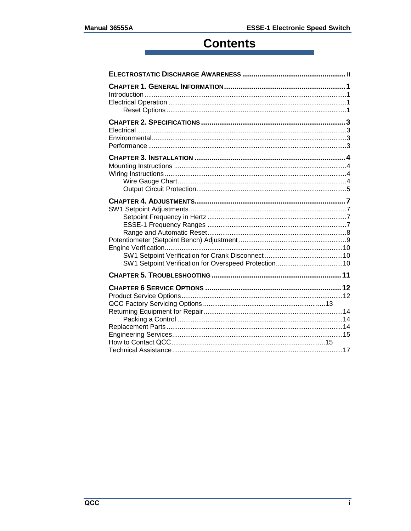## **Contents**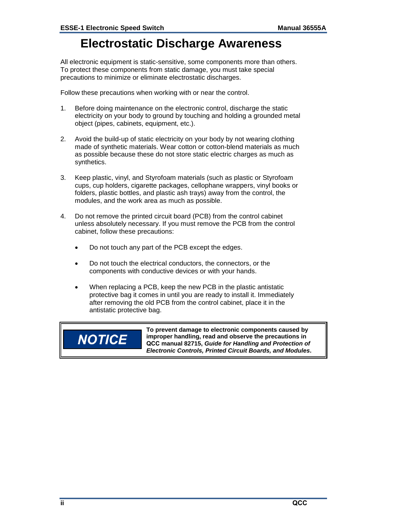### **Electrostatic Discharge Awareness**

<span id="page-3-0"></span>All electronic equipment is static-sensitive, some components more than others. To protect these components from static damage, you must take special precautions to minimize or eliminate electrostatic discharges.

Follow these precautions when working with or near the control.

- 1. Before doing maintenance on the electronic control, discharge the static electricity on your body to ground by touching and holding a grounded metal object (pipes, cabinets, equipment, etc.).
- 2. Avoid the build-up of static electricity on your body by not wearing clothing made of synthetic materials. Wear cotton or cotton-blend materials as much as possible because these do not store static electric charges as much as synthetics.
- 3. Keep plastic, vinyl, and Styrofoam materials (such as plastic or Styrofoam cups, cup holders, cigarette packages, cellophane wrappers, vinyl books or folders, plastic bottles, and plastic ash trays) away from the control, the modules, and the work area as much as possible.
- 4. Do not remove the printed circuit board (PCB) from the control cabinet unless absolutely necessary. If you must remove the PCB from the control cabinet, follow these precautions:
	- Do not touch any part of the PCB except the edges.
	- Do not touch the electrical conductors, the connectors, or the components with conductive devices or with your hands.
	- When replacing a PCB, keep the new PCB in the plastic antistatic protective bag it comes in until you are ready to install it. Immediately after removing the old PCB from the control cabinet, place it in the antistatic protective bag.

# **NOTICE**

**To prevent damage to electronic components caused by improper handling, read and observe the precautions in QCC manual 82715,** *Guide for Handling and Protection of Electronic Controls, Printed Circuit Boards, and Modules***.**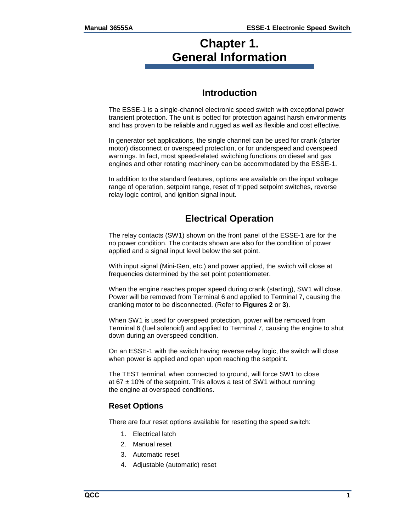### <span id="page-4-0"></span>**Chapter 1. General Information**

### **Introduction**

<span id="page-4-1"></span>The ESSE-1 is a single-channel electronic speed switch with exceptional power transient protection. The unit is potted for protection against harsh environments and has proven to be reliable and rugged as well as flexible and cost effective.

In generator set applications, the single channel can be used for crank (starter motor) disconnect or overspeed protection, or for underspeed and overspeed warnings. In fact, most speed-related switching functions on diesel and gas engines and other rotating machinery can be accommodated by the ESSE-1.

In addition to the standard features, options are available on the input voltage range of operation, setpoint range, reset of tripped setpoint switches, reverse relay logic control, and ignition signal input.

### **Electrical Operation**

<span id="page-4-2"></span>The relay contacts (SW1) shown on the front panel of the ESSE-1 are for the no power condition. The contacts shown are also for the condition of power applied and a signal input level below the set point.

With input signal (Mini-Gen, etc.) and power applied, the switch will close at frequencies determined by the set point potentiometer.

When the engine reaches proper speed during crank (starting), SW1 will close. Power will be removed from Terminal 6 and applied to Terminal 7, causing the cranking motor to be disconnected. (Refer to **Figures 2** or **3**).

When SW1 is used for overspeed protection, power will be removed from Terminal 6 (fuel solenoid) and applied to Terminal 7, causing the engine to shut down during an overspeed condition.

On an ESSE-1 with the switch having reverse relay logic, the switch will close when power is applied and open upon reaching the setpoint.

The TEST terminal, when connected to ground, will force SW1 to close at 67  $\pm$  10% of the setpoint. This allows a test of SW1 without running the engine at overspeed conditions.

#### <span id="page-4-3"></span>**Reset Options**

There are four reset options available for resetting the speed switch:

- 1. Electrical latch
- 2. Manual reset
- 3. Automatic reset
- 4. Adjustable (automatic) reset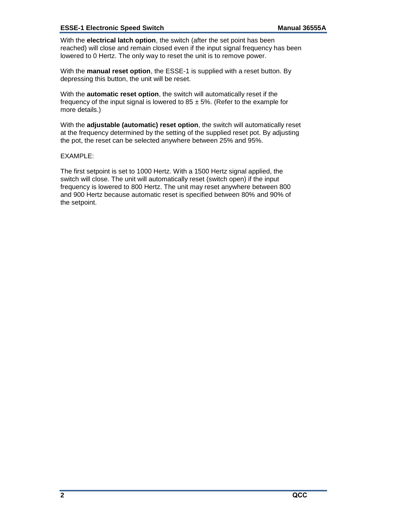#### **ESSE-1 Electronic Speed Switch Manual 36555A**

With the **electrical latch option**, the switch (after the set point has been reached) will close and remain closed even if the input signal frequency has been lowered to 0 Hertz. The only way to reset the unit is to remove power.

With the **manual reset option**, the ESSE-1 is supplied with a reset button. By depressing this button, the unit will be reset.

With the **automatic reset option**, the switch will automatically reset if the frequency of the input signal is lowered to 85  $\pm$  5%. (Refer to the example for more details.)

With the **adjustable (automatic) reset option**, the switch will automatically reset at the frequency determined by the setting of the supplied reset pot. By adjusting the pot, the reset can be selected anywhere between 25% and 95%.

#### EXAMPLE:

The first setpoint is set to 1000 Hertz. With a 1500 Hertz signal applied, the switch will close. The unit will automatically reset (switch open) if the input frequency is lowered to 800 Hertz. The unit may reset anywhere between 800 and 900 Hertz because automatic reset is specified between 80% and 90% of the setpoint.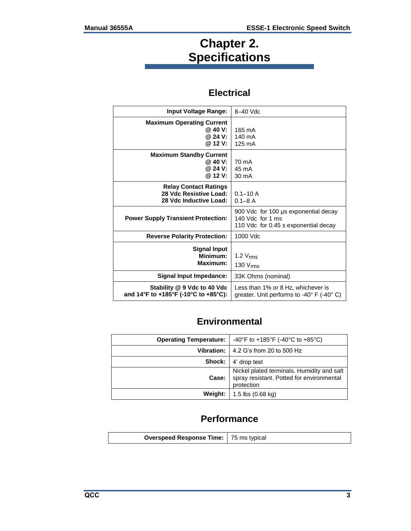### **Chapter 2. Specifications**

### **Electrical**

<span id="page-6-1"></span><span id="page-6-0"></span>

| <b>Input Voltage Range:</b>                                                      | 8-40 Vdc                                                                                         |
|----------------------------------------------------------------------------------|--------------------------------------------------------------------------------------------------|
| <b>Maximum Operating Current</b><br>$@.40$ V:<br>@ 24 V:<br>@ 12 V:              | 165 mA<br>140 mA<br>125 mA                                                                       |
| <b>Maximum Standby Current</b><br>@40V:<br>@ 24 V:<br>@ 12 V:                    | 70 mA<br>45 mA<br>30 mA                                                                          |
| <b>Relay Contact Ratings</b><br>28 Vdc Resistive Load:<br>28 Vdc Inductive Load: | $0.1 - 10$ A<br>$0.1 - 8$ A                                                                      |
| <b>Power Supply Transient Protection:</b>                                        | 900 Vdc for 100 us exponential decay<br>140 Vdc for 1 ms<br>110 Vdc for 0.45 s exponential decay |
| <b>Reverse Polarity Protection:</b>                                              | 1000 Vdc                                                                                         |
| <b>Signal Input</b><br>Minimum:<br>Maximum:                                      | 1.2 $V_{\rm rms}$<br>130 V <sub>rms</sub>                                                        |
| Signal Input Impedance:                                                          | 33K Ohms (nominal)                                                                               |
| Stability @ 9 Vdc to 40 Vdc<br>and 14°F to +185°F (-10°C to +85°C):              | Less than 1% or 8 Hz, whichever is<br>greater. Unit performs to -40° F (-40° C)                  |

### **Environmental**

<span id="page-6-2"></span>

| <b>Operating Temperature:</b> | -40°F to +185°F (-40°C to +85°C)                                                                      |
|-------------------------------|-------------------------------------------------------------------------------------------------------|
|                               | <b>Vibration:</b> $ $ 4.2 G's from 20 to 500 Hz                                                       |
|                               | <b>Shock:</b> 4' drop test                                                                            |
| Case:                         | Nickel plated terminals. Humidity and salt<br>spray resistant. Potted for environmental<br>protection |
|                               | <b>Weight:</b>   $1.5$ lbs $(0.68 \text{ kg})$                                                        |

### **Performance**

<span id="page-6-3"></span>

| <b>Overspeed Response Time:</b> 75 ms typical |  |
|-----------------------------------------------|--|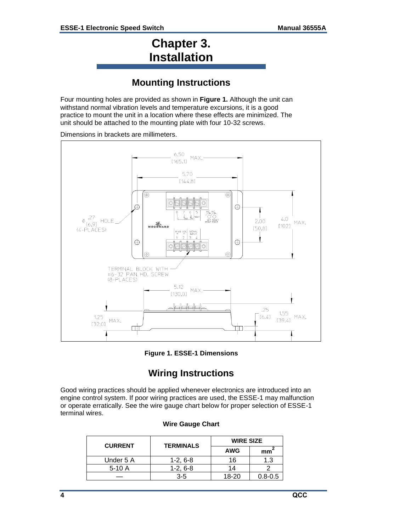### **Chapter 3. Installation**

### **Mounting Instructions**

<span id="page-7-1"></span><span id="page-7-0"></span>Four mounting holes are provided as shown in **Figure 1.** Although the unit can withstand normal vibration levels and temperature excursions, it is a good practice to mount the unit in a location where these effects are minimized. The unit should be attached to the mounting plate with four 10-32 screws.

Dimensions in brackets are millimeters.



**Figure 1. ESSE-1 Dimensions** 

### **Wiring Instructions**

<span id="page-7-3"></span><span id="page-7-2"></span>Good wiring practices should be applied whenever electronics are introduced into an engine control system. If poor wiring practices are used, the ESSE-1 may malfunction or operate erratically. See the wire gauge chart below for proper selection of ESSE-1 terminal wires.

#### **Wire Gauge Chart**

| <b>CURRENT</b> | <b>TERMINALS</b> | <b>WIRE SIZE</b> |             |
|----------------|------------------|------------------|-------------|
|                |                  | <b>AWG</b>       | mm          |
| Under 5 A      | $1-2, 6-8$       | 16               | 1.3         |
| $5-10A$        | $1-2.6-8$        | 14               |             |
|                | $3 - 5$          | $18-20$          | $0.8 - 0.5$ |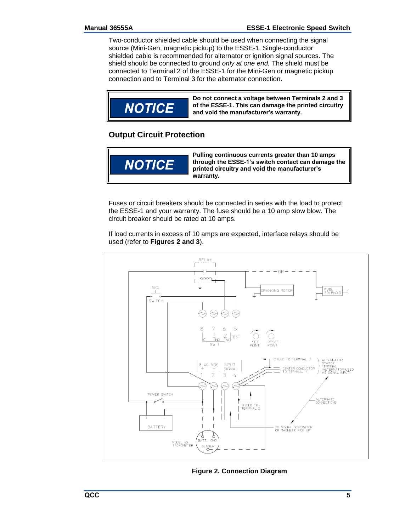Two-conductor shielded cable should be used when connecting the signal source (Mini-Gen, magnetic pickup) to the ESSE-1. Single-conductor shielded cable is recommended for alternator or ignition signal sources. The shield should be connected to ground *only at one end.* The shield must be connected to Terminal 2 of the ESSE-1 for the Mini-Gen or magnetic pickup connection and to Terminal 3 for the alternator connection.



#### <span id="page-8-0"></span>**Output Circuit Protection**



Fuses or circuit breakers should be connected in series with the load to protect the ESSE-1 and your warranty. The fuse should be a 10 amp slow blow. The circuit breaker should be rated at 10 amps.

If load currents in excess of 10 amps are expected, interface relays should be used (refer to **Figures 2 and 3**).



**Figure 2. Connection Diagram**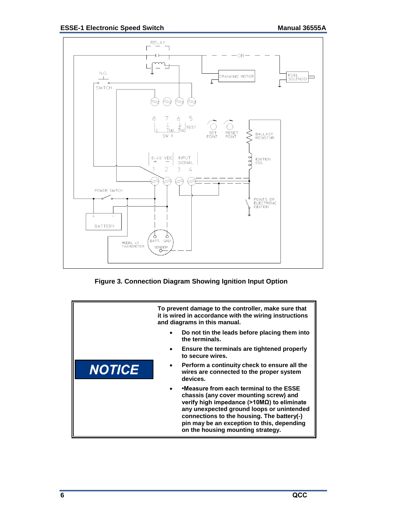

**Figure 3. Connection Diagram Showing Ignition Input Option** 

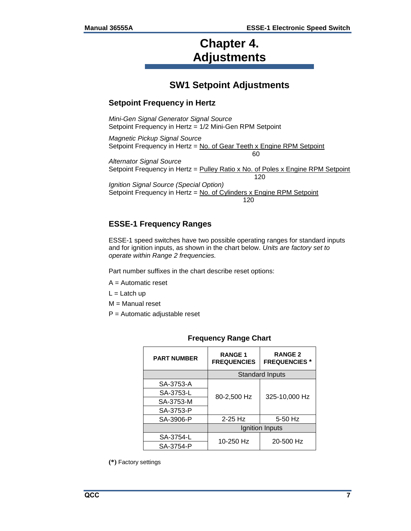### **Chapter 4. Adjustments**

### **SW1 Setpoint Adjustments**

#### <span id="page-10-2"></span><span id="page-10-1"></span><span id="page-10-0"></span>**Setpoint Frequency in Hertz**

*Mini-Gen Signal Generator Signal Source* Setpoint Frequency in Hertz = 1/2 Mini-Gen RPM Setpoint

*Magnetic Pickup Signal Source*  Setpoint Frequency in Hertz = No. of Gear Teeth x Engine RPM Setpoint 60

*Alternator Signal Source*  Setpoint Frequency in Hertz = Pulley Ratio x No. of Poles x Engine RPM Setpoint 120 *Ignition Signal Source (Special Option)*  Setpoint Frequency in Hertz = No. of Cylinders x Engine RPM Setpoint 120

#### <span id="page-10-3"></span>**ESSE-1 Frequency Ranges**

ESSE-1 speed switches have two possible operating ranges for standard inputs and for ignition inputs, as shown in the chart below. *Units are factory set to operate within Range 2 frequencies.* 

Part number suffixes in the chart describe reset options:

- A = Automatic reset
- $L =$ Latch up
- M = Manual reset
- P = Automatic adjustable reset

| <b>PART NUMBER</b> | <b>RANGE1</b><br><b>FREQUENCIES</b> | <b>RANGE 2</b><br><b>FREQUENCIES</b> * |
|--------------------|-------------------------------------|----------------------------------------|
|                    |                                     | <b>Standard Inputs</b>                 |
| SA-3753-A          | 80-2,500 Hz<br>325-10,000 Hz        |                                        |
| SA-3753-L          |                                     |                                        |
| SA-3753-M          |                                     |                                        |
| SA-3753-P          |                                     |                                        |
| SA-3906-P          | $2-25$ Hz                           | 5-50 Hz                                |
|                    | Ignition Inputs                     |                                        |
| SA-3754-L          | 10-250 Hz                           | 20-500 Hz                              |
| SA-3754-P          |                                     |                                        |

#### **Frequency Range Chart**

**(\*)** Factory settings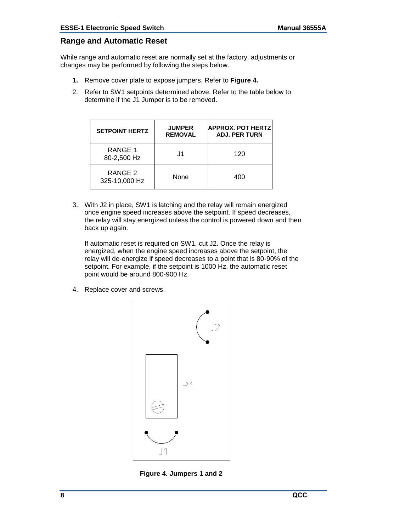#### <span id="page-11-0"></span>**Range and Automatic Reset**

While range and automatic reset are normally set at the factory, adjustments or changes may be performed by following the steps below.

- **1.** Remove cover plate to expose jumpers. Refer to **Figure 4.**
- 2. Refer to SW1 setpoints determined above. Refer to the table below to determine if the J1 Jumper is to be removed.

| <b>SETPOINT HERTZ</b>    | <b>JUMPER</b><br><b>REMOVAL</b> | <b>APPROX. POT HERTZ</b><br><b>ADJ. PER TURN</b> |
|--------------------------|---------------------------------|--------------------------------------------------|
| RANGE 1<br>80-2,500 Hz   | .J1                             | 120                                              |
| RANGE 2<br>325-10,000 Hz | None                            | 400                                              |

3. With J2 in place, SW1 is latching and the relay will remain energized once engine speed increases above the setpoint. If speed decreases, the relay will stay energized unless the control is powered down and then back up again.

If automatic reset is required on SW1, cut J2. Once the relay is energized, when the engine speed increases above the setpoint, the relay will de-energize if speed decreases to a point that is 80-90% of the setpoint. For example, if the setpoint is 1000 Hz, the automatic reset point would be around 800-900 Hz.

4. Replace cover and screws.



**Figure 4. Jumpers 1 and 2**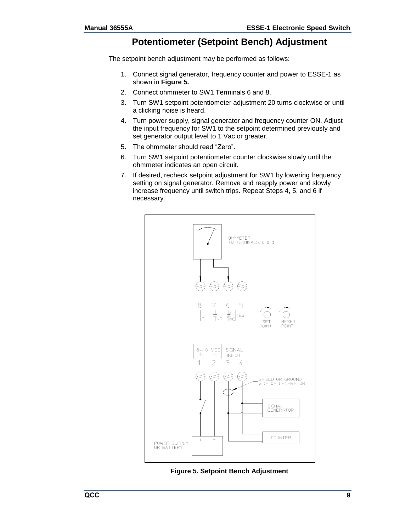#### **Potentiometer (Setpoint Bench) Adjustment**

<span id="page-12-0"></span>The setpoint bench adjustment may be performed as follows:

- 1. Connect signal generator, frequency counter and power to ESSE-1 as shown in **Figure 5.**
- 2. Connect ohmmeter to SW1 Terminals 6 and 8.
- 3. Turn SW1 setpoint potentiometer adjustment 20 turns clockwise or until a clicking noise is heard.
- 4. Turn power supply, signal generator and frequency counter ON. Adjust the input frequency for SW1 to the setpoint determined previously and set generator output level to 1 Vac or greater.
- 5. The ohmmeter should read "Zero".
- 6. Turn SW1 setpoint potentiometer counter clockwise slowly until the ohmmeter indicates an open circuit.
- 7. If desired, recheck setpoint adjustment for SW1 by lowering frequency setting on signal generator. Remove and reapply power and slowly increase frequency until switch trips. Repeat Steps 4, 5, and 6 if necessary.



**Figure 5. Setpoint Bench Adjustment**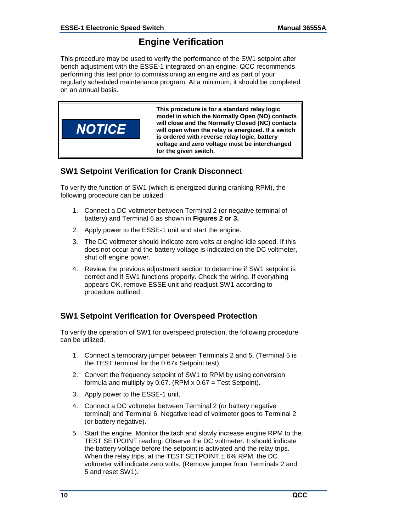#### **Engine Verification**

<span id="page-13-0"></span>This procedure may be used to verify the performance of the SW1 setpoint after bench adjustment with the ESSE-1 integrated on an engine. QCC recommends performing this test prior to commissioning an engine and as part of your regularly scheduled maintenance program. At a minimum, it should be completed on an annual basis.



#### <span id="page-13-1"></span>**SW1 Setpoint Verification for Crank Disconnect**

To verify the function of SW1 (which is energized during cranking RPM), the following procedure can be utilized.

- 1. Connect a DC voltmeter between Terminal 2 (or negative terminal of battery) and Terminal 6 as shown in **Figures 2 or 3.**
- 2. Apply power to the ESSE-1 unit and start the engine.
- 3. The DC voltmeter should indicate zero volts at engine idle speed. If this does not occur and the battery voltage is indicated on the DC voltmeter, shut off engine power.
- 4. Review the previous adjustment section to determine if SW1 setpoint is correct and if SW1 functions properly. Check the wiring. If everything appears OK, remove ESSE unit and readjust SW1 according to procedure outlined.

#### <span id="page-13-2"></span>**SW1 Setpoint Verification for Overspeed Protection**

To verify the operation of SW1 for overspeed protection, the following procedure can be utilized.

- 1. Connect a temporary jumper between Terminals 2 and 5. (Terminal 5 is the TEST terminal for the 0.67x Setpoint test).
- 2. Convert the frequency setpoint of SW1 to RPM by using conversion formula and multiply by 0.67. (RPM  $\times$  0.67 = Test Setpoint).
- 3. Apply power to the ESSE-1 unit.
- 4. Connect a DC voltmeter between Terminal 2 (or battery negative terminal) and Terminal 6. Negative lead of voltmeter goes to Terminal 2 (or battery negative).
- 5. Start the engine. Monitor the tach and slowly increase engine RPM to the TEST SETPOINT reading. Observe the DC voltmeter. It should indicate the battery voltage before the setpoint is activated and the relay trips. When the relay trips, at the TEST SETPOINT  $\pm 6\%$  RPM, the DC voltmeter will indicate zero volts. (Remove jumper from Terminals 2 and 5 and reset SW1).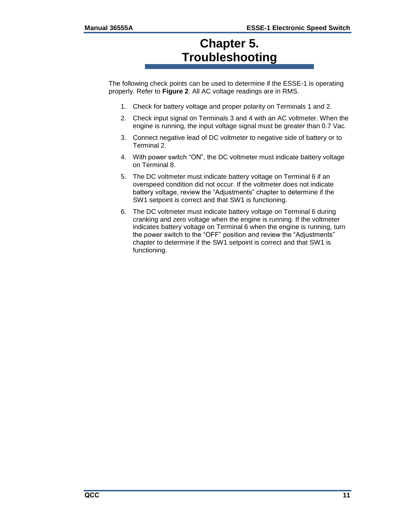### **Chapter 5. Troubleshooting**

<span id="page-14-0"></span>The following check points can be used to determine if the ESSE-1 is operating properly. Refer to **Figure 2**. All AC voltage readings are in RMS.

- 1. Check for battery voltage and proper polarity on Terminals 1 and 2.
- 2. Check input signal on Terminals 3 and 4 with an AC voltmeter. When the engine is running, the input voltage signal must be greater than 0.7 Vac.
- 3. Connect negative lead of DC voltmeter to negative side of battery or to Terminal 2.
- 4. With power switch "ON", the DC voltmeter must indicate battery voltage on Terminal 8.
- 5. The DC voltmeter must indicate battery voltage on Terminal 6 if an overspeed condition did not occur. If the voltmeter does not indicate battery voltage, review the "Adjustments" chapter to determine if the SW1 setpoint is correct and that SW1 is functioning.
- 6. The DC voltmeter must indicate battery voltage on Terminal 6 during cranking and zero voltage when the engine is running. If the voltmeter indicates battery voltage on Terminal 6 when the engine is running, turn the power switch to the "OFF" position and review the "Adjustments" chapter to determine if the SW1 setpoint is correct and that SW1 is functioning.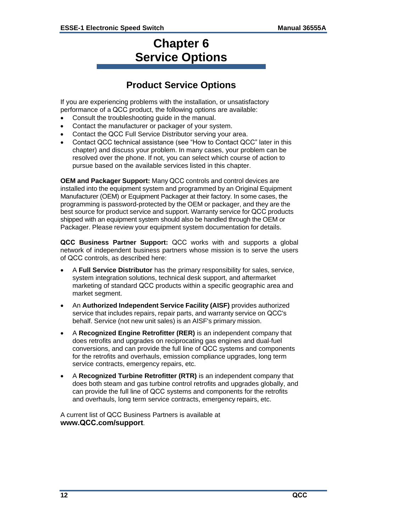### **Chapter 6 Service Options**

### **Product Service Options**

<span id="page-15-1"></span><span id="page-15-0"></span>If you are experiencing problems with the installation, or unsatisfactory performance of a QCC product, the following options are available:

- Consult the troubleshooting guide in the manual.
- Contact the manufacturer or packager of your system.
- Contact the QCC Full Service Distributor serving your area.
- Contact QCC technical assistance (see "How to Contact QCC" later in this chapter) and discuss your problem. In many cases, your problem can be resolved over the phone. If not, you can select which course of action to pursue based on the available services listed in this chapter.

**OEM and Packager Support:** Many QCC controls and control devices are installed into the equipment system and programmed by an Original Equipment Manufacturer (OEM) or Equipment Packager at their factory. In some cases, the programming is password-protected by the OEM or packager, and they are the best source for product service and support. Warranty service for QCC products shipped with an equipment system should also be handled through the OEM or Packager. Please review your equipment system documentation for details.

**QCC Business Partner Support:** QCC works with and supports a global network of independent business partners whose mission is to serve the users of QCC controls, as described here:

- A **Full Service Distributor** has the primary responsibility for sales, service, system integration solutions, technical desk support, and aftermarket marketing of standard QCC products within a specific geographic area and market segment.
- An **Authorized Independent Service Facility (AISF)** provides authorized service that includes repairs, repair parts, and warranty service on QCC's behalf. Service (not new unit sales) is an AISF's primary mission.
- A **Recognized Engine Retrofitter (RER)** is an independent company that does retrofits and upgrades on reciprocating gas engines and dual-fuel conversions, and can provide the full line of QCC systems and components for the retrofits and overhauls, emission compliance upgrades, long term service contracts, emergency repairs, etc.
- A **Recognized Turbine Retrofitter (RTR)** is an independent company that does both steam and gas turbine control retrofits and upgrades globally, and can provide the full line of QCC systems and components for the retrofits and overhauls, long term service contracts, emergency repairs, etc.

A current list of QCC Business Partners is available at **www.QCC.com/support**.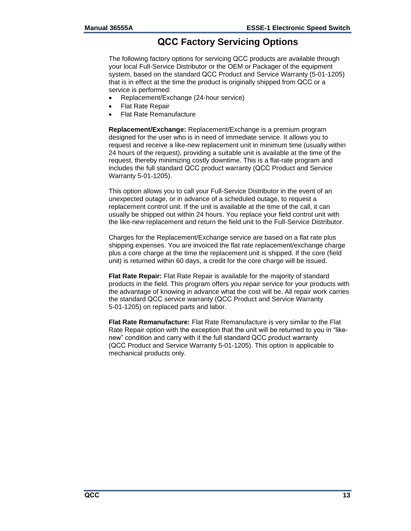#### **QCC Factory Servicing Options**

<span id="page-16-0"></span>The following factory options for servicing QCC products are available through your local Full-Service Distributor or the OEM or Packager of the equipment system, based on the standard QCC Product and Service Warranty (5-01-1205) that is in effect at the time the product is originally shipped from QCC or a service is performed:

- Replacement/Exchange (24-hour service)
- Flat Rate Repair
- Flat Rate Remanufacture

**Replacement/Exchange:** Replacement/Exchange is a premium program designed for the user who is in need of immediate service. It allows you to request and receive a like-new replacement unit in minimum time (usually within 24 hours of the request), providing a suitable unit is available at the time of the request, thereby minimizing costly downtime. This is a flat-rate program and includes the full standard QCC product warranty (QCC Product and Service Warranty 5-01-1205).

This option allows you to call your Full-Service Distributor in the event of an unexpected outage, or in advance of a scheduled outage, to request a replacement control unit. If the unit is available at the time of the call, it can usually be shipped out within 24 hours. You replace your field control unit with the like-new replacement and return the field unit to the Full-Service Distributor.

Charges for the Replacement/Exchange service are based on a flat rate plus shipping expenses. You are invoiced the flat rate replacement/exchange charge plus a core charge at the time the replacement unit is shipped. If the core (field unit) is returned within 60 days, a credit for the core charge will be issued.

**Flat Rate Repair:** Flat Rate Repair is available for the majority of standard products in the field. This program offers you repair service for your products with the advantage of knowing in advance what the cost will be. All repair work carries the standard QCC service warranty (QCC Product and Service Warranty 5-01-1205) on replaced parts and labor.

**Flat Rate Remanufacture:** Flat Rate Remanufacture is very similar to the Flat Rate Repair option with the exception that the unit will be returned to you in "likenew" condition and carry with it the full standard QCC product warranty (QCC Product and Service Warranty 5-01-1205). This option is applicable to mechanical products only.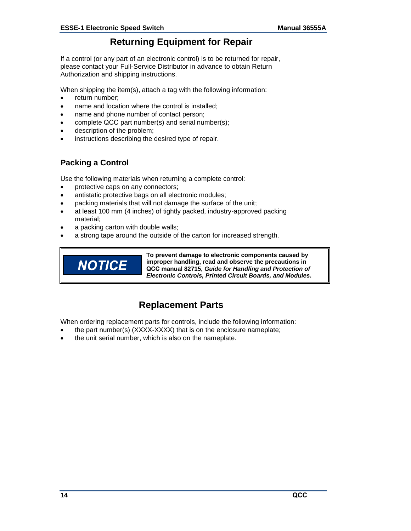#### **Returning Equipment for Repair**

<span id="page-17-0"></span>If a control (or any part of an electronic control) is to be returned for repair, please contact your Full-Service Distributor in advance to obtain Return Authorization and shipping instructions.

When shipping the item(s), attach a tag with the following information:

- return number:
- name and location where the control is installed;
- name and phone number of contact person;
- complete QCC part number(s) and serial number(s);
- description of the problem;
- instructions describing the desired type of repair.

#### <span id="page-17-1"></span>**Packing a Control**

Use the following materials when returning a complete control:

- protective caps on any connectors;
- antistatic protective bags on all electronic modules;
- packing materials that will not damage the surface of the unit;
- at least 100 mm (4 inches) of tightly packed, industry-approved packing material;
- a packing carton with double walls;
- a strong tape around the outside of the carton for increased strength.



**To prevent damage to electronic components caused by improper handling, read and observe the precautions in QCC manual 82715,** *Guide for Handling and Protection of Electronic Controls, Printed Circuit Boards, and Modules***.** 

### **Replacement Parts**

<span id="page-17-2"></span>When ordering replacement parts for controls, include the following information:

- the part number(s) (XXXX-XXXX) that is on the enclosure nameplate;
- the unit serial number, which is also on the nameplate.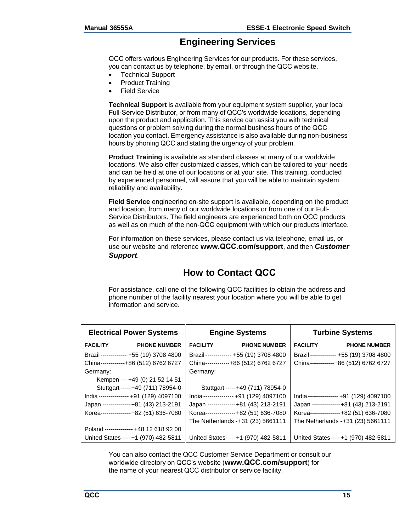#### **Engineering Services**

<span id="page-18-0"></span>QCC offers various Engineering Services for our products. For these services, you can contact us by telephone, by email, or through the QCC website.

- Technical Support
- Product Training
- Field Service

**Technical Support** is available from your equipment system supplier, your local Full-Service Distributor, or from many of QCC's worldwide locations, depending upon the product and application. This service can assist you with technical questions or problem solving during the normal business hours of the QCC location you contact. Emergency assistance is also available during non-business hours by phoning QCC and stating the urgency of your problem.

**Product Training** is available as standard classes at many of our worldwide locations. We also offer customized classes, which can be tailored to your needs and can be held at one of our locations or at your site. This training, conducted by experienced personnel, will assure that you will be able to maintain system reliability and availability.

**Field Service** engineering on-site support is available, depending on the product and location, from many of our worldwide locations or from one of our Full-Service Distributors. The field engineers are experienced both on QCC products as well as on much of the non-QCC equipment with which our products interface.

For information on these services, please contact us via telephone, email us, or use our website and reference **www.QCC.com/support**, and then *Customer Support*.

#### **How to Contact QCC**

<span id="page-18-1"></span>For assistance, call one of the following QCC facilities to obtain the address and phone number of the facility nearest your location where you will be able to get information and service.

| <b>Electrical Power Systems</b>        | <b>Engine Systems</b>                  | <b>Turbine Systems</b>                 |  |
|----------------------------------------|----------------------------------------|----------------------------------------|--|
| <b>FACILITY</b><br><b>PHONE NUMBER</b> | <b>PHONE NUMBER</b><br><b>FACILITY</b> | <b>FACILITY</b><br><b>PHONE NUMBER</b> |  |
| Brazil------------- +55 (19) 3708 4800 | Brazil------------- +55 (19) 3708 4800 | Brazil------------- +55 (19) 3708 4800 |  |
| China------------+86 (512) 6762 6727   | China------------+86 (512) 6762 6727   | China------------+86 (512) 6762 6727   |  |
| Germany:                               | Germany:                               |                                        |  |
| Kempen --- +49 (0) 21 52 14 51         |                                        |                                        |  |
| Stuttgart -----+49 (711) 78954-0       | Stuttgart -----+49 (711) 78954-0       |                                        |  |
| India--------------- +91 (129) 4097100 | India--------------- +91 (129) 4097100 | India--------------- +91 (129) 4097100 |  |
| Japan --------------+81 (43) 213-2191  | Japan --------------+81 (43) 213-2191  | Japan -------------+81 (43) 213-2191   |  |
| Korea---------------+82 (51) 636-7080  | Korea---------------+82 (51) 636-7080  | Korea---------------+82 (51) 636-7080  |  |
|                                        | The Netherlands - +31 (23) 5661111     | The Netherlands - +31 (23) 5661111     |  |
| Poland -------------- +48 12 618 92 00 |                                        |                                        |  |
| United States-----+1 (970) 482-5811    | United States-----+1 (970) 482-5811    | United States-----+1 (970) 482-5811    |  |

You can also contact the QCC Customer Service Department or consult our worldwide directory on QCC's website (**www.QCC.com/support**) for the name of your nearest QCC distributor or service facility.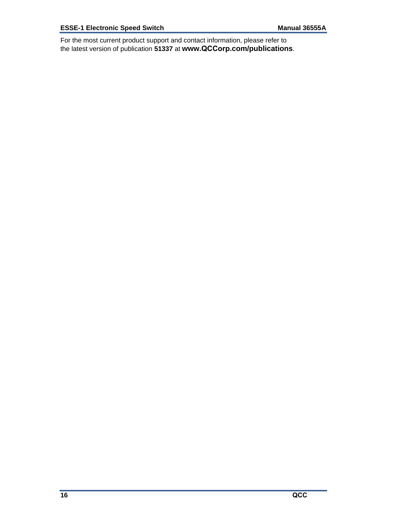For the most current product support and contact information, please refer to the latest version of publication **51337** at **www.QCCorp.com/publications**.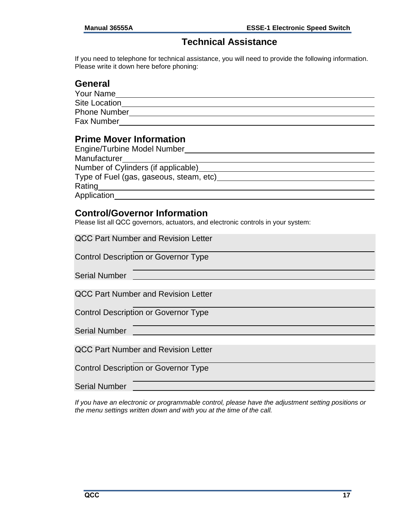#### **Technical Assistance**

<span id="page-20-0"></span>If you need to telephone for technical assistance, you will need to provide the following information. Please write it down here before phoning:

#### **General**

| Your Name           |  |
|---------------------|--|
| Site Location       |  |
| <b>Phone Number</b> |  |
| <b>Fax Number</b>   |  |

#### **Prime Mover Information**

| Engine/Turbine Model Number             |  |
|-----------------------------------------|--|
| Manufacturer                            |  |
| Number of Cylinders (if applicable)     |  |
| Type of Fuel (gas, gaseous, steam, etc) |  |
| Rating                                  |  |
| Application                             |  |

#### **Control/Governor Information**

Please list all QCC governors, actuators, and electronic controls in your system:

| <b>QCC Part Number and Revision Letter</b>  |
|---------------------------------------------|
| <b>Control Description or Governor Type</b> |
| <b>Serial Number</b>                        |
| <b>QCC Part Number and Revision Letter</b>  |
| <b>Control Description or Governor Type</b> |
| <b>Serial Number</b>                        |
| <b>QCC Part Number and Revision Letter</b>  |
|                                             |

Control Description or Governor Type

Serial Number

*If you have an electronic or programmable control, please have the adjustment setting positions or the menu settings written down and with you at the time of the call.*